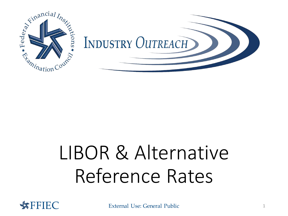

# LIBOR & Alternative Reference Rates



**External Use: General Public 1 ATTELLER CONTROLLER EXTERNAL EXTERNAL EXTERNAL EXTENDIOR ATTENTION ATTENTION ATTENTION ATTENTION ATTENTION ATTENTION ATTENTION ATTENTION ATTENTION ATTENTION ATTENTION ATTENTION ATTENTION ATT**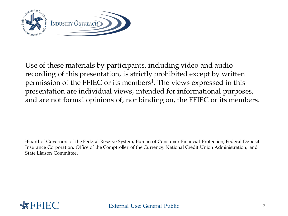

Use of these materials by participants, including video and audio recording of this presentation, is strictly prohibited except by written permission of the FFIEC or its members<sup>1</sup>. The views expressed in this presentation are individual views, intended for informational purposes, and are not formal opinions of, nor binding on, the FFIEC or its members.

1Board of Governors of the Federal Reserve System, Bureau of Consumer Financial Protection, Federal Deposit Insurance Corporation, Office of the Comptroller of the Currency, National Credit Union Administration, and State Liaison Committee.

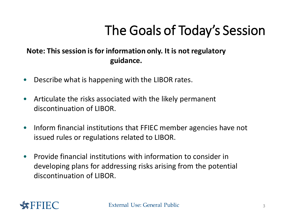## The Goals of Today's Session

### **Note: This session is for information only. It is not regulatory guidance.**

- Describe what is happening with the LIBOR rates.
- Articulate the risks associated with the likely permanent discontinuation of LIBOR.
- Inform financial institutions that FFIEC member agencies have not issued rules or regulations related to LIBOR.
- Provide financial institutions with information to consider in developing plans for addressing risks arising from the potential discontinuation of LIBOR.

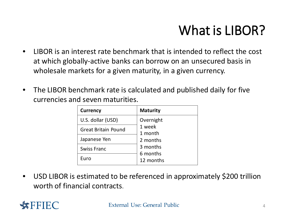## What is LIBOR?

- LIBOR is an interest rate benchmark that is intended to reflect the cost at which globally-active banks can borrow on an unsecured basis in wholesale markets for a given maturity, in a given currency.
- The LIBOR benchmark rate is calculated and published daily for five currencies and seven maturities.

| <b>Currency</b>            | <b>Maturity</b>       |
|----------------------------|-----------------------|
| U.S. dollar (USD)          | Overnight             |
| <b>Great Britain Pound</b> | 1 week<br>1 month     |
| Japanese Yen               | 2 months              |
| <b>Swiss Franc</b>         | 3 months              |
| Euro                       | 6 months<br>12 months |

• USD LIBOR is estimated to be referenced in approximately \$200 trillion worth of financial contracts.

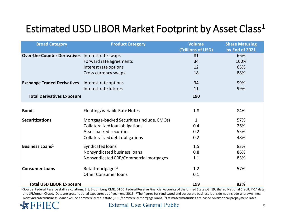### Estimated USD LIBOR Market Footprint by Asset Class<sup>1</sup>

| <b>Broad Category</b>                            | <b>Product Category</b>                    | Volume             | <b>Share Maturing</b> |
|--------------------------------------------------|--------------------------------------------|--------------------|-----------------------|
|                                                  |                                            | (Trillions of USD) | by End of 2021        |
| Over-the-Counter Derivatives Interest rate swaps |                                            | 81                 | 66%                   |
|                                                  | Forward rate agreements                    | 34                 | 100%                  |
|                                                  | Interest rate options                      | 12                 | 65%                   |
|                                                  | Cross currency swaps                       | 18                 | 88%                   |
| <b>Exchange Traded Derivatives</b>               | Interest rate options                      | 34                 | 99%                   |
|                                                  | Interest rate futures                      | 11                 | 99%                   |
| <b>Total Derivatives Exposure</b>                |                                            | 190                |                       |
| <b>Bonds</b>                                     | Floating/Variable Rate Notes               | 1.8                | 84%                   |
|                                                  |                                            |                    |                       |
| <b>Securitizations</b>                           | Mortgage-backed Securities (include. CMOs) | 1                  | 57%                   |
|                                                  | Collateralized loan obligations            | 0.4                | 26%                   |
|                                                  | Asset-backed securities                    | 0.2                | 55%                   |
|                                                  | Collateralized debt obligations            | 0.2                | 48%                   |
| <b>Business Loans<sup>2</sup></b>                | Syndicated loans                           | 1.5                | 83%                   |
|                                                  | Nonsyndicated business loans               | 0.8                | 86%                   |
|                                                  | Nonsyndicated CRE/Commercial mortgages     | 1.1                | 83%                   |
| <b>Consumer Loans</b>                            | Retail mortgages <sup>3</sup>              | 1.2                | 57%                   |
|                                                  | <b>Other Consumer loans</b>                | 0.1                |                       |
| <b>Total USD LIBOR Exposure</b>                  |                                            | 199                | 82%                   |

<sup>1</sup> Source: Federal Reserve staff calculations, BIS, Bloomberg, CME, DTCC, Federal Reserve Financial Accounts of the United States, G. 19, Shared National Credit, Y-14 data, and JPMorgan Chase. Data are gross notional exposures as of year-end 2016. <sup>2</sup>The figures for syndicated and corporate business loans do not include undrawn lines. Nonsyndicated business Ioans exclude commercial real estate (CRE)/commercial mortgage Ioans. 3 Estimated maturities are based on historical prepayment rates.



### **FIC** External Use: General Public 5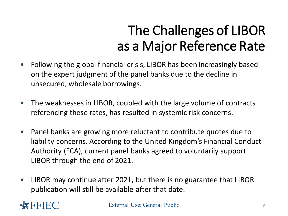## as a Major Reference Rate The Challenges of LIBOR

- Following the global financial crisis, LIBOR has been increasingly based on the expert judgment of the panel banks due to the decline in unsecured, wholesale borrowings.
- The weaknesses in LIBOR, coupled with the large volume of contracts referencing these rates, has resulted in systemic risk concerns.
- Panel banks are growing more reluctant to contribute quotes due to liability concerns. According to the United Kingdom's Financial Conduct Authority (FCA), current panel banks agreed to voluntarily support LIBOR through the end of 2021.
- LIBOR may continue after 2021, but there is no guarantee that LIBOR publication will still be available after that date.

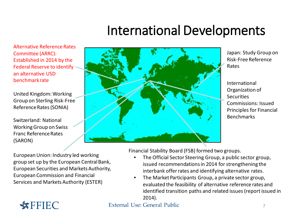### International Developments

Alternative Reference Rates Committee (ARRC): Established in 2014 by the Federal Reserve to identify an alternative USD benchmark rate

United Kingdom: Working Group on Sterling Risk-Free Reference Rates (SONIA)

Switzerland: National Working Group on Swiss Franc Reference Rates (SARON)



Japan: Study Group on Risk-Free Reference Rates

International Organization of **Securities** Commissions: Issued Principles for Financial Benchmarks

European Union: Industry led working group set up by the European Central Bank, European Securities and Markets Authority, European Commission and Financial Services and Markets Authority (ESTER)

Financial Stability Board (FSB) formed two groups.

- The Official Sector Steering Group, a public sector group, issued recommendations in 2014 for strengthening the interbank offer rates and identifying alternative rates.
- The Market Participants Group, a private sector group, evaluated the feasibility of alternative reference rates and identified transition paths and related issues (report issued in 2014).

### **FFIEC** External Use: General Public 7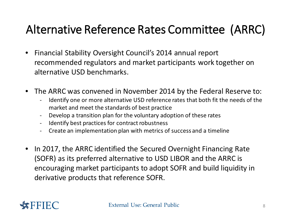### Alternative Reference Rates Committee (ARRC)

- Financial Stability Oversight Council's 2014 annual report recommended regulators and market participants work together on alternative USD benchmarks.
- The ARRC was convened in November 2014 by the Federal Reserve to:
	- Identify one or more alternative USD reference rates that both fit the needs of the market and meet the standards of best practice
	- Develop a transition plan for the voluntary adoption of these rates
	- Identify best practices for contract robustness
	- Create an implementation plan with metrics of success and a timeline
- In 2017, the ARRC identified the Secured Overnight Financing Rate (SOFR) as its preferred alternative to USD LIBOR and the ARRC is encouraging market participants to adopt SOFR and build liquidity in derivative products that reference SOFR.

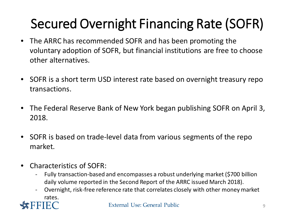## Secured Overnight Financing Rate (SOFR)

- The ARRC has recommended SOFR and has been promoting the voluntary adoption of SOFR, but financial institutions are free to choose other alternatives.
- SOFR is a short term USD interest rate based on overnight treasury repo transactions.
- The Federal Reserve Bank of New York began publishing SOFR on April 3, 2018.
- SOFR is based on trade-level data from various segments of the repo market.
- Characteristics of SOFR:
	- Fully transaction-based and encompasses a robust underlying market (\$700 billion daily volume reported in the Second Report of the ARRC issued March 2018).
	- Overnight, risk-free reference rate that correlates closely with other money market rates.

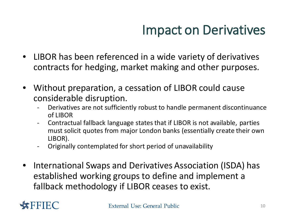### Impact on Derivatives

- LIBOR has been referenced in a wide variety of derivatives contracts for hedging, market making and other purposes.
- Without preparation, a cessation of LIBOR could cause considerable disruption.
	- Derivatives are not sufficiently robust to handle permanent discontinuance of LIBOR
	- Contractual fallback language states that if LIBOR is not available, parties must solicit quotes from major London banks (essentially create their own LIBOR).
	- Originally contemplated for short period of unavailability
- International Swaps and Derivatives Association (ISDA) has established working groups to define and implement a fallback methodology if LIBOR ceases to exist.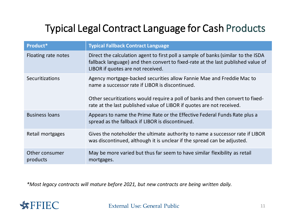### Typical Legal Contract Language for Cash Products

| Product*                   | <b>Typical Fallback Contract Language</b>                                                                                                                                                                                                                                           |
|----------------------------|-------------------------------------------------------------------------------------------------------------------------------------------------------------------------------------------------------------------------------------------------------------------------------------|
| Floating rate notes        | Direct the calculation agent to first poll a sample of banks (similar to the ISDA<br>fallback language) and then convert to fixed-rate at the last published value of<br>LIBOR if quotes are not received.                                                                          |
| Securitizations            | Agency mortgage-backed securities allow Fannie Mae and Freddie Mac to<br>name a successor rate if LIBOR is discontinued.<br>Other securitizations would require a poll of banks and then convert to fixed-<br>rate at the last published value of LIBOR if quotes are not received. |
| <b>Business loans</b>      | Appears to name the Prime Rate or the Effective Federal Funds Rate plus a<br>spread as the fallback if LIBOR is discontinued.                                                                                                                                                       |
| Retail mortgages           | Gives the noteholder the ultimate authority to name a successor rate if LIBOR<br>was discontinued, although it is unclear if the spread can be adjusted.                                                                                                                            |
| Other consumer<br>products | May be more varied but thus far seem to have similar flexibility as retail<br>mortgages.                                                                                                                                                                                            |

*\*Most legacy contracts will mature before 2021, but new contracts are being written daily.* 

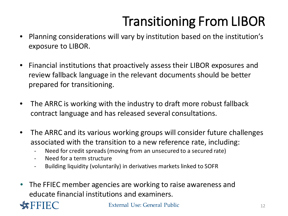## Transitioning From LIBOR

- Planning considerations will vary by institution based on the institution's exposure to LIBOR.
- Financial institutions that proactively assess their LIBOR exposures and review fallback language in the relevant documents should be better prepared for transitioning.
- The ARRC is working with the industry to draft more robust fallback contract language and has released several consultations.
- The ARRC and its various working groups will consider future challenges associated with the transition to a new reference rate, including:
	- Need for credit spreads (moving from an unsecured to a secured rate)
	- Need for a term structure
	- Building liquidity (voluntarily) in derivatives markets linked to SOFR
- The FFIEC member agencies are working to raise awareness and educate financial institutions and examiners.



**FFIEC** External Use: General Public 12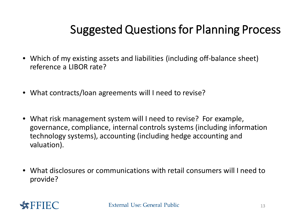### Suggested Questions for Planning Process

- Which of my existing assets and liabilities (including off-balance sheet) reference a LIBOR rate?
- What contracts/loan agreements will I need to revise?
- What risk management system will I need to revise? For example, governance, compliance, internal controls systems (including information technology systems), accounting (including hedge accounting and valuation).
- What disclosures or communications with retail consumers will I need to provide?

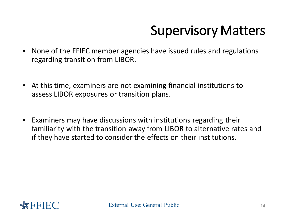## Supervisory Matters

- None of the FFIEC member agencies have issued rules and regulations regarding transition from LIBOR.
- At this time, examiners are not examining financial institutions to assess LIBOR exposures or transition plans.
- Examiners may have discussions with institutions regarding their familiarity with the transition away from LIBOR to alternative rates and if they have started to consider the effects on their institutions.

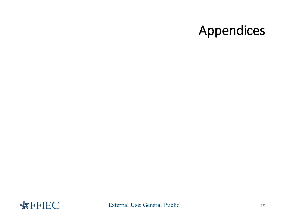### Appendices

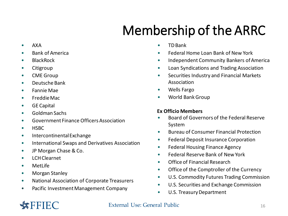## Membership of the ARRC

- AXA
- Bank of America
- BlackRock
- Citigroup
- CME Group
- Deutsche Bank
- Fannie Mae
- FreddieMac
- GE Capital
- Goldman Sachs
- Government Finance Officers Association
- HSBC
- IntercontinentalExchange
- International Swaps and Derivatives Association
- JP Morgan Chase & Co.
- LCH Clearnet
- MetLife
- Morgan Stanley
- National Association of Corporate Treasurers
- Pacific Investment Management Company
- TD Bank
- Federal Home Loan Bank of New York
- Independent Community Bankers of America
- Loan Syndications and Trading Association
- Securities Industry and Financial Markets Association
- Wells Fargo
- World Bank Group

### **Ex Officio Members**

- Board of Governors of the Federal Reserve System
- Bureau of Consumer Financial Protection
- Federal Deposit Insurance Corporation
- Federal Housing Finance Agency
- Federal Reserve Bank of New York
- Office of Financial Research
- Office of the Comptroller of the Currency
- U.S. Commodity Futures Trading Commission
- U.S. Securities and Exchange Commission
- U.S. Treasury Department

### **External Use: General Public 16 CONTROLLER EXTENDIOUS EXTENDIOUS EXTENDIOUS EXTENDIOUS EXTENDIOUS EXTENDIOUS EXTENDIOUS EXTENDIOUS EXTENDIOUS EXTENDIOUS EXTENDIOUS**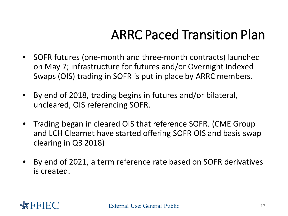### ARRC Paced Transition Plan

- SOFR futures (one-month and three-month contracts) launched on May 7; infrastructure for futures and/or Overnight Indexed Swaps (OIS) trading in SOFR is put in place by ARRC members.
- By end of 2018, trading begins in futures and/or bilateral, uncleared, OIS referencing SOFR.
- Trading began in cleared OIS that reference SOFR. (CME Group and LCH Clearnet have started offering SOFR OIS and basis swap clearing in Q3 2018)
- By end of 2021, a term reference rate based on SOFR derivatives is created.